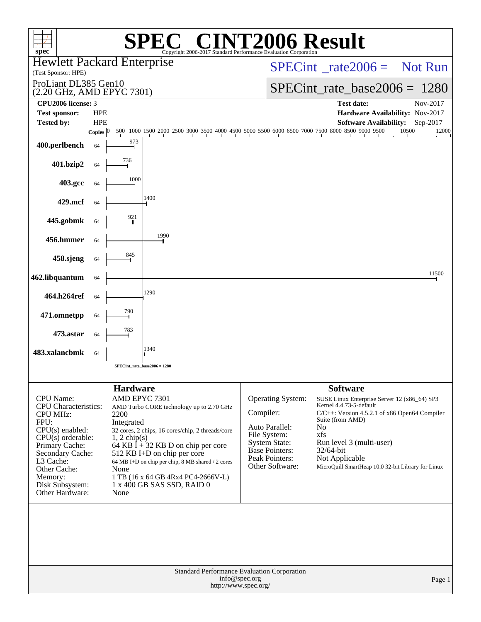| spec <sup>®</sup>                                                                                                                                                                                                                   |                    |                                                                                          | $\bigcap$<br>Copyright 2006-2017 Standard Performance Evaluation Corporation                                                                                                                                                                                                               |           |                                                                                                                                           | <b>NT2006 Result</b>                                                                                                                                                                                                                                                                                         |                |
|-------------------------------------------------------------------------------------------------------------------------------------------------------------------------------------------------------------------------------------|--------------------|------------------------------------------------------------------------------------------|--------------------------------------------------------------------------------------------------------------------------------------------------------------------------------------------------------------------------------------------------------------------------------------------|-----------|-------------------------------------------------------------------------------------------------------------------------------------------|--------------------------------------------------------------------------------------------------------------------------------------------------------------------------------------------------------------------------------------------------------------------------------------------------------------|----------------|
| <b>Hewlett Packard Enterprise</b><br>(Test Sponsor: HPE)                                                                                                                                                                            |                    |                                                                                          |                                                                                                                                                                                                                                                                                            |           | $SPECint^{\circ}$ <sub>rate2006</sub> = Not Run                                                                                           |                                                                                                                                                                                                                                                                                                              |                |
| ProLiant DL385 Gen10<br>(2.20 GHz, AMD EPYC 7301)                                                                                                                                                                                   |                    |                                                                                          |                                                                                                                                                                                                                                                                                            |           | $SPECint_rate_base2006 = 1280$                                                                                                            |                                                                                                                                                                                                                                                                                                              |                |
| CPU2006 license: 3<br><b>Test sponsor:</b>                                                                                                                                                                                          | <b>HPE</b>         |                                                                                          |                                                                                                                                                                                                                                                                                            |           |                                                                                                                                           | <b>Test date:</b><br>Hardware Availability: Nov-2017                                                                                                                                                                                                                                                         | Nov-2017       |
| <b>Tested by:</b>                                                                                                                                                                                                                   | <b>HPE</b>         |                                                                                          |                                                                                                                                                                                                                                                                                            |           |                                                                                                                                           | <b>Software Availability:</b>                                                                                                                                                                                                                                                                                | Sep-2017       |
| 400.perlbench                                                                                                                                                                                                                       | Copies $ 0 $<br>64 | 1000<br>500<br>973                                                                       | 1500 2000 2500 3000 3500 4000 4500 5000 5500 6000 6500 7000 7500 8000 8500 9000 9500                                                                                                                                                                                                       |           |                                                                                                                                           |                                                                                                                                                                                                                                                                                                              | 10500<br>12000 |
| 401.bzip2                                                                                                                                                                                                                           | 64                 | 736                                                                                      |                                                                                                                                                                                                                                                                                            |           |                                                                                                                                           |                                                                                                                                                                                                                                                                                                              |                |
| 403.gcc                                                                                                                                                                                                                             | 64                 | 1000                                                                                     |                                                                                                                                                                                                                                                                                            |           |                                                                                                                                           |                                                                                                                                                                                                                                                                                                              |                |
| 429.mcf                                                                                                                                                                                                                             | 64                 |                                                                                          | 1400                                                                                                                                                                                                                                                                                       |           |                                                                                                                                           |                                                                                                                                                                                                                                                                                                              |                |
| 445.gobmk                                                                                                                                                                                                                           | 64                 | 921                                                                                      |                                                                                                                                                                                                                                                                                            |           |                                                                                                                                           |                                                                                                                                                                                                                                                                                                              |                |
| 456.hmmer                                                                                                                                                                                                                           | 64                 |                                                                                          | 1990                                                                                                                                                                                                                                                                                       |           |                                                                                                                                           |                                                                                                                                                                                                                                                                                                              |                |
| 458.sjeng                                                                                                                                                                                                                           | 64                 | 845                                                                                      |                                                                                                                                                                                                                                                                                            |           |                                                                                                                                           |                                                                                                                                                                                                                                                                                                              |                |
| 462.libquantum                                                                                                                                                                                                                      | 64                 |                                                                                          |                                                                                                                                                                                                                                                                                            |           |                                                                                                                                           |                                                                                                                                                                                                                                                                                                              | 11500          |
| 464.h264ref                                                                                                                                                                                                                         | 64                 |                                                                                          | 1290                                                                                                                                                                                                                                                                                       |           |                                                                                                                                           |                                                                                                                                                                                                                                                                                                              |                |
| 471.omnetpp                                                                                                                                                                                                                         | 64                 | 790                                                                                      |                                                                                                                                                                                                                                                                                            |           |                                                                                                                                           |                                                                                                                                                                                                                                                                                                              |                |
| 473.astar                                                                                                                                                                                                                           | 64                 | 783                                                                                      |                                                                                                                                                                                                                                                                                            |           |                                                                                                                                           |                                                                                                                                                                                                                                                                                                              |                |
| 483.xalancbmk                                                                                                                                                                                                                       | 64                 |                                                                                          | 1340                                                                                                                                                                                                                                                                                       |           |                                                                                                                                           |                                                                                                                                                                                                                                                                                                              |                |
|                                                                                                                                                                                                                                     |                    |                                                                                          | SPECint_rate_base2006 = 1280                                                                                                                                                                                                                                                               |           |                                                                                                                                           |                                                                                                                                                                                                                                                                                                              |                |
| CPU Name:<br><b>CPU</b> Characteristics:<br><b>CPU MHz:</b><br>FPU:<br>$CPU(s)$ enabled:<br>$CPU(s)$ orderable:<br>Primary Cache:<br>Secondary Cache:<br>L3 Cache:<br>Other Cache:<br>Memory:<br>Disk Subsystem:<br>Other Hardware: |                    | <b>Hardware</b><br>AMD EPYC 7301<br>2200<br>Integrated<br>$1, 2$ chip(s)<br>None<br>None | AMD Turbo CORE technology up to 2.70 GHz<br>32 cores, 2 chips, 16 cores/chip, 2 threads/core<br>64 KB I + 32 KB D on chip per core<br>512 KB I+D on chip per core<br>64 MB I+D on chip per chip, 8 MB shared / 2 cores<br>1 TB (16 x 64 GB 4Rx4 PC4-2666V-L)<br>1 x 400 GB SAS SSD, RAID 0 | Compiler: | <b>Operating System:</b><br>Auto Parallel:<br>File System:<br><b>System State:</b><br>Base Pointers:<br>Peak Pointers:<br>Other Software: | <b>Software</b><br>SUSE Linux Enterprise Server 12 (x86_64) SP3<br>Kernel 4.4.73-5-default<br>C/C++: Version 4.5.2.1 of x86 Open64 Compiler<br>Suite (from AMD)<br>N <sub>0</sub><br>xfs<br>Run level 3 (multi-user)<br>$32/64$ -bit<br>Not Applicable<br>MicroQuill SmartHeap 10.0 32-bit Library for Linux |                |
|                                                                                                                                                                                                                                     |                    |                                                                                          |                                                                                                                                                                                                                                                                                            | Page 1    |                                                                                                                                           |                                                                                                                                                                                                                                                                                                              |                |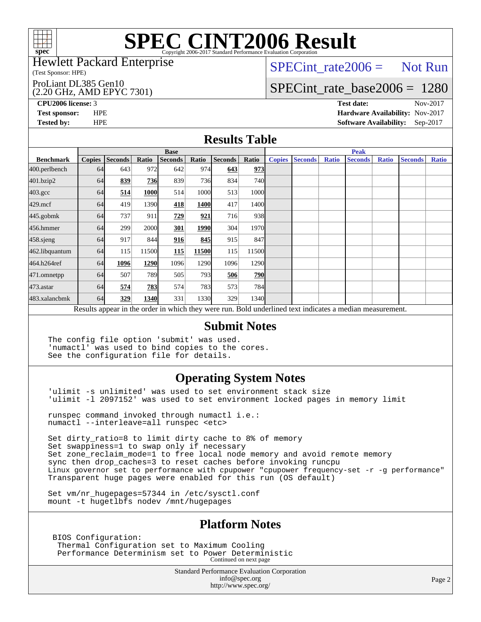

# **[SPEC CINT2006 Result](http://www.spec.org/auto/cpu2006/Docs/result-fields.html#SPECCINT2006Result)**

#### Hewlett Packard Enterprise

(Test Sponsor: HPE)

#### ProLiant DL385 Gen10

#### (2.20 GHz, AMD EPYC 7301)

 $SPECTnt_rate2006 = Not Run$ 

### [SPECint\\_rate\\_base2006 =](http://www.spec.org/auto/cpu2006/Docs/result-fields.html#SPECintratebase2006) 1280

**[CPU2006 license:](http://www.spec.org/auto/cpu2006/Docs/result-fields.html#CPU2006license)** 3 **[Test date:](http://www.spec.org/auto/cpu2006/Docs/result-fields.html#Testdate)** Nov-2017 **[Test sponsor:](http://www.spec.org/auto/cpu2006/Docs/result-fields.html#Testsponsor)** HPE **[Hardware Availability:](http://www.spec.org/auto/cpu2006/Docs/result-fields.html#HardwareAvailability)** Nov-2017 **[Tested by:](http://www.spec.org/auto/cpu2006/Docs/result-fields.html#Testedby)** HPE **[Software Availability:](http://www.spec.org/auto/cpu2006/Docs/result-fields.html#SoftwareAvailability)** Sep-2017

### **[Results Table](http://www.spec.org/auto/cpu2006/Docs/result-fields.html#ResultsTable)**

|                                                                                                          | <b>Base</b>   |                |            |                |       |         |               | <b>Peak</b>   |                |              |                |              |                |              |
|----------------------------------------------------------------------------------------------------------|---------------|----------------|------------|----------------|-------|---------|---------------|---------------|----------------|--------------|----------------|--------------|----------------|--------------|
| <b>Benchmark</b>                                                                                         | <b>Copies</b> | <b>Seconds</b> | Ratio      | <b>Seconds</b> | Ratio | Seconds | Ratio         | <b>Copies</b> | <b>Seconds</b> | <b>Ratio</b> | <b>Seconds</b> | <b>Ratio</b> | <b>Seconds</b> | <b>Ratio</b> |
| 400.perlbench                                                                                            | 64            | 643            | 972        | 642            | 974   | 643     | 973           |               |                |              |                |              |                |              |
| 401.bzip2                                                                                                | 64            | 839            | <b>736</b> | 839            | 736I  | 834     | 740l          |               |                |              |                |              |                |              |
| $403.\mathrm{gcc}$                                                                                       | 64            | 514            | 1000       | 514            | 1000  | 513     | 1000l         |               |                |              |                |              |                |              |
| $429$ .mcf                                                                                               | 64            | 419            | 1390       | 418            | 1400  | 417     | 1400          |               |                |              |                |              |                |              |
| $445$ .gobm $k$                                                                                          | 64            | 737            | 911        | 729            | 921   | 716     | 938           |               |                |              |                |              |                |              |
| 456.hmmer                                                                                                | 64            | 299            | 2000       | 301            | 1990  | 304     | 1970          |               |                |              |                |              |                |              |
| 458.sjeng                                                                                                | 64            | 917            | 844        | 916            | 845   | 915     | 847           |               |                |              |                |              |                |              |
| 462.libquantum                                                                                           | 64            | 115            | 11500      | 115            | 11500 | 115     | 11500         |               |                |              |                |              |                |              |
| 464.h264ref                                                                                              | 64            | 1096           | 1290       | 1096           | 1290  | 1096    | 1290          |               |                |              |                |              |                |              |
| 471.omnetpp                                                                                              | 64            | 507            | 789        | 505            | 793   | 506     | <b>790</b>    |               |                |              |                |              |                |              |
| 473.astar                                                                                                | 64            | 574            | 783        | 574            | 783   | 573     | 784           |               |                |              |                |              |                |              |
| 483.xalancbmk                                                                                            | 64            | 329            | 1340       | 331            | 1330  | 329     | 1340 <b>I</b> |               |                |              |                |              |                |              |
| Results appear in the order in which they were run. Bold underlined text indicates a median measurement. |               |                |            |                |       |         |               |               |                |              |                |              |                |              |

### **[Submit Notes](http://www.spec.org/auto/cpu2006/Docs/result-fields.html#SubmitNotes)**

The config file option 'submit' was used. 'numactl' was used to bind copies to the cores. See the configuration file for details.

### **[Operating System Notes](http://www.spec.org/auto/cpu2006/Docs/result-fields.html#OperatingSystemNotes)**

'ulimit -s unlimited' was used to set environment stack size 'ulimit -l 2097152' was used to set environment locked pages in memory limit

runspec command invoked through numactl i.e.: numactl --interleave=all runspec <etc>

Set dirty\_ratio=8 to limit dirty cache to 8% of memory Set swappiness=1 to swap only if necessary Set zone\_reclaim\_mode=1 to free local node memory and avoid remote memory sync then drop\_caches=3 to reset caches before invoking runcpu Linux governor set to performance with cpupower "cpupower frequency-set -r -g performance" Transparent huge pages were enabled for this run (OS default)

Set vm/nr hugepages=57344 in /etc/sysctl.conf mount -t hugetlbfs nodev /mnt/hugepages

### **[Platform Notes](http://www.spec.org/auto/cpu2006/Docs/result-fields.html#PlatformNotes)**

 BIOS Configuration: Thermal Configuration set to Maximum Cooling Performance Determinism set to Power Deterministic Continued on next page

> Standard Performance Evaluation Corporation [info@spec.org](mailto:info@spec.org) <http://www.spec.org/>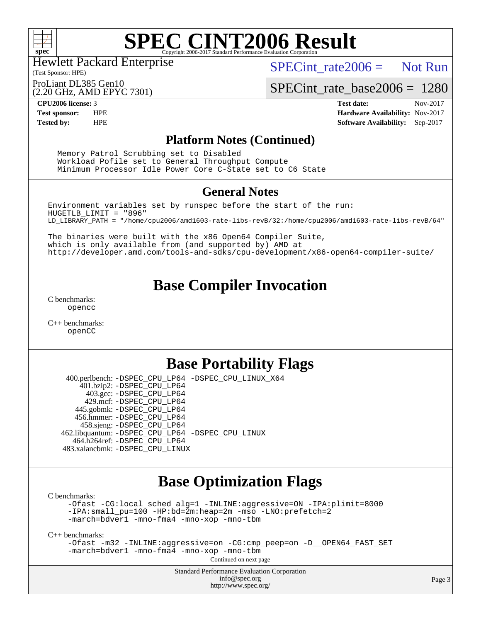

# **[SPEC CINT2006 Result](http://www.spec.org/auto/cpu2006/Docs/result-fields.html#SPECCINT2006Result)**

Hewlett Packard Enterprise

(Test Sponsor: HPE)

 $SPECint rate2006 =$  Not Run

ProLiant DL385 Gen10

(2.20 GHz, AMD EPYC 7301)

[SPECint\\_rate\\_base2006 =](http://www.spec.org/auto/cpu2006/Docs/result-fields.html#SPECintratebase2006) 1280

**[CPU2006 license:](http://www.spec.org/auto/cpu2006/Docs/result-fields.html#CPU2006license)** 3 **[Test date:](http://www.spec.org/auto/cpu2006/Docs/result-fields.html#Testdate)** Nov-2017 **[Test sponsor:](http://www.spec.org/auto/cpu2006/Docs/result-fields.html#Testsponsor)** HPE **[Hardware Availability:](http://www.spec.org/auto/cpu2006/Docs/result-fields.html#HardwareAvailability)** Nov-2017 **[Tested by:](http://www.spec.org/auto/cpu2006/Docs/result-fields.html#Testedby)** HPE **[Software Availability:](http://www.spec.org/auto/cpu2006/Docs/result-fields.html#SoftwareAvailability)** Sep-2017

### **[Platform Notes \(Continued\)](http://www.spec.org/auto/cpu2006/Docs/result-fields.html#PlatformNotes)**

 Memory Patrol Scrubbing set to Disabled Workload Pofile set to General Throughput Compute Minimum Processor Idle Power Core C-State set to C6 State

### **[General Notes](http://www.spec.org/auto/cpu2006/Docs/result-fields.html#GeneralNotes)**

Environment variables set by runspec before the start of the run: HUGETLB\_LIMIT = "896" LD\_LIBRARY\_PATH = "/home/cpu2006/amd1603-rate-libs-revB/32:/home/cpu2006/amd1603-rate-libs-revB/64"

The binaries were built with the x86 Open64 Compiler Suite, which is only available from (and supported by) AMD at <http://developer.amd.com/tools-and-sdks/cpu-development/x86-open64-compiler-suite/>

## **[Base Compiler Invocation](http://www.spec.org/auto/cpu2006/Docs/result-fields.html#BaseCompilerInvocation)**

[C benchmarks](http://www.spec.org/auto/cpu2006/Docs/result-fields.html#Cbenchmarks): [opencc](http://www.spec.org/cpu2006/results/res2017q4/cpu2006-20171128-50839.flags.html#user_CCbase_Fopencc)

[C++ benchmarks:](http://www.spec.org/auto/cpu2006/Docs/result-fields.html#CXXbenchmarks) [openCC](http://www.spec.org/cpu2006/results/res2017q4/cpu2006-20171128-50839.flags.html#user_CXXbase_FopenCC)

## **[Base Portability Flags](http://www.spec.org/auto/cpu2006/Docs/result-fields.html#BasePortabilityFlags)**

 400.perlbench: [-DSPEC\\_CPU\\_LP64](http://www.spec.org/cpu2006/results/res2017q4/cpu2006-20171128-50839.flags.html#b400.perlbench_basePORTABILITY_DSPEC_CPU_LP64) [-DSPEC\\_CPU\\_LINUX\\_X64](http://www.spec.org/cpu2006/results/res2017q4/cpu2006-20171128-50839.flags.html#b400.perlbench_baseCPORTABILITY_DSPEC_CPU_LINUX_X64) 401.bzip2: [-DSPEC\\_CPU\\_LP64](http://www.spec.org/cpu2006/results/res2017q4/cpu2006-20171128-50839.flags.html#suite_basePORTABILITY401_bzip2_DSPEC_CPU_LP64) 403.gcc: [-DSPEC\\_CPU\\_LP64](http://www.spec.org/cpu2006/results/res2017q4/cpu2006-20171128-50839.flags.html#suite_basePORTABILITY403_gcc_DSPEC_CPU_LP64) 429.mcf: [-DSPEC\\_CPU\\_LP64](http://www.spec.org/cpu2006/results/res2017q4/cpu2006-20171128-50839.flags.html#suite_basePORTABILITY429_mcf_DSPEC_CPU_LP64) 445.gobmk: [-DSPEC\\_CPU\\_LP64](http://www.spec.org/cpu2006/results/res2017q4/cpu2006-20171128-50839.flags.html#suite_basePORTABILITY445_gobmk_DSPEC_CPU_LP64) 456.hmmer: [-DSPEC\\_CPU\\_LP64](http://www.spec.org/cpu2006/results/res2017q4/cpu2006-20171128-50839.flags.html#suite_basePORTABILITY456_hmmer_DSPEC_CPU_LP64) 458.sjeng: [-DSPEC\\_CPU\\_LP64](http://www.spec.org/cpu2006/results/res2017q4/cpu2006-20171128-50839.flags.html#suite_basePORTABILITY458_sjeng_DSPEC_CPU_LP64) 462.libquantum: [-DSPEC\\_CPU\\_LP64](http://www.spec.org/cpu2006/results/res2017q4/cpu2006-20171128-50839.flags.html#suite_basePORTABILITY462_libquantum_DSPEC_CPU_LP64) [-DSPEC\\_CPU\\_LINUX](http://www.spec.org/cpu2006/results/res2017q4/cpu2006-20171128-50839.flags.html#b462.libquantum_baseCPORTABILITY_DSPEC_CPU_LINUX) 464.h264ref: [-DSPEC\\_CPU\\_LP64](http://www.spec.org/cpu2006/results/res2017q4/cpu2006-20171128-50839.flags.html#suite_basePORTABILITY464_h264ref_DSPEC_CPU_LP64) 483.xalancbmk: [-DSPEC\\_CPU\\_LINUX](http://www.spec.org/cpu2006/results/res2017q4/cpu2006-20171128-50839.flags.html#b483.xalancbmk_baseCXXPORTABILITY_DSPEC_CPU_LINUX)

## **[Base Optimization Flags](http://www.spec.org/auto/cpu2006/Docs/result-fields.html#BaseOptimizationFlags)**

[C benchmarks](http://www.spec.org/auto/cpu2006/Docs/result-fields.html#Cbenchmarks):

[-Ofast](http://www.spec.org/cpu2006/results/res2017q4/cpu2006-20171128-50839.flags.html#user_CCbase_F-Ofast) [-CG:local\\_sched\\_alg=1](http://www.spec.org/cpu2006/results/res2017q4/cpu2006-20171128-50839.flags.html#user_CCbase_F-CG:local_sched_alg_2175ca61f1a2717f1ec57b14995b9e7a) [-INLINE:aggressive=ON](http://www.spec.org/cpu2006/results/res2017q4/cpu2006-20171128-50839.flags.html#user_CCbase_F-INLINE:aggressive_1968a21fda3b9e485676870015f71302) [-IPA:plimit=8000](http://www.spec.org/cpu2006/results/res2017q4/cpu2006-20171128-50839.flags.html#user_CCbase_F-IPA:plimit_92cba83f3d47f09c7d5368fda93ddbd7) [-IPA:small\\_pu=100](http://www.spec.org/cpu2006/results/res2017q4/cpu2006-20171128-50839.flags.html#user_CCbase_F-IPA:small_pu_900a09767c6929d55c26ea3d32399996) [-HP:bd=2m:heap=2m](http://www.spec.org/cpu2006/results/res2017q4/cpu2006-20171128-50839.flags.html#user_CCbase_F-HUGEPAGE_539c723a9f9bd1bd95cd839aeb740bae) [-mso](http://www.spec.org/cpu2006/results/res2017q4/cpu2006-20171128-50839.flags.html#user_CCbase_F-mso) [-LNO:prefetch=2](http://www.spec.org/cpu2006/results/res2017q4/cpu2006-20171128-50839.flags.html#user_CCbase_F-LNO:prefetch_9aee81855ba0592a3c8a40ba7b041143) [-march=bdver1](http://www.spec.org/cpu2006/results/res2017q4/cpu2006-20171128-50839.flags.html#user_CCbase_F-march_fdb9f2653a6b3eaa60be4cf93a9ba5f3) [-mno-fma4](http://www.spec.org/cpu2006/results/res2017q4/cpu2006-20171128-50839.flags.html#user_CCbase_F-mno-fma4_e29f3a785f8b63ba2d60793d5b1cf4c3) [-mno-xop](http://www.spec.org/cpu2006/results/res2017q4/cpu2006-20171128-50839.flags.html#user_CCbase_F-mno-xop) [-mno-tbm](http://www.spec.org/cpu2006/results/res2017q4/cpu2006-20171128-50839.flags.html#user_CCbase_F-mno-tbm)

[C++ benchmarks:](http://www.spec.org/auto/cpu2006/Docs/result-fields.html#CXXbenchmarks)

[-Ofast](http://www.spec.org/cpu2006/results/res2017q4/cpu2006-20171128-50839.flags.html#user_CXXbase_F-Ofast) [-m32](http://www.spec.org/cpu2006/results/res2017q4/cpu2006-20171128-50839.flags.html#user_CXXbase_F-m32) [-INLINE:aggressive=on](http://www.spec.org/cpu2006/results/res2017q4/cpu2006-20171128-50839.flags.html#user_CXXbase_F-INLINE:aggressive_e14807c0a1e56a6a83cb25ab07c7ae8a) [-CG:cmp\\_peep=on](http://www.spec.org/cpu2006/results/res2017q4/cpu2006-20171128-50839.flags.html#user_CXXbase_F-CG:cmp_peep_ab90c979e95bee1f1f617a32622424ed) [-D\\_\\_OPEN64\\_FAST\\_SET](http://www.spec.org/cpu2006/results/res2017q4/cpu2006-20171128-50839.flags.html#user_CXXbase_F-D__OPEN64_FAST_SET_294c6d8260f208640e5474aae24dc22e) [-march=bdver1](http://www.spec.org/cpu2006/results/res2017q4/cpu2006-20171128-50839.flags.html#user_CXXbase_F-march_fdb9f2653a6b3eaa60be4cf93a9ba5f3) [-mno-fma4](http://www.spec.org/cpu2006/results/res2017q4/cpu2006-20171128-50839.flags.html#user_CXXbase_F-mno-fma4_e29f3a785f8b63ba2d60793d5b1cf4c3) [-mno-xop](http://www.spec.org/cpu2006/results/res2017q4/cpu2006-20171128-50839.flags.html#user_CXXbase_F-mno-xop) [-mno-tbm](http://www.spec.org/cpu2006/results/res2017q4/cpu2006-20171128-50839.flags.html#user_CXXbase_F-mno-tbm) Continued on next page

> Standard Performance Evaluation Corporation [info@spec.org](mailto:info@spec.org) <http://www.spec.org/>